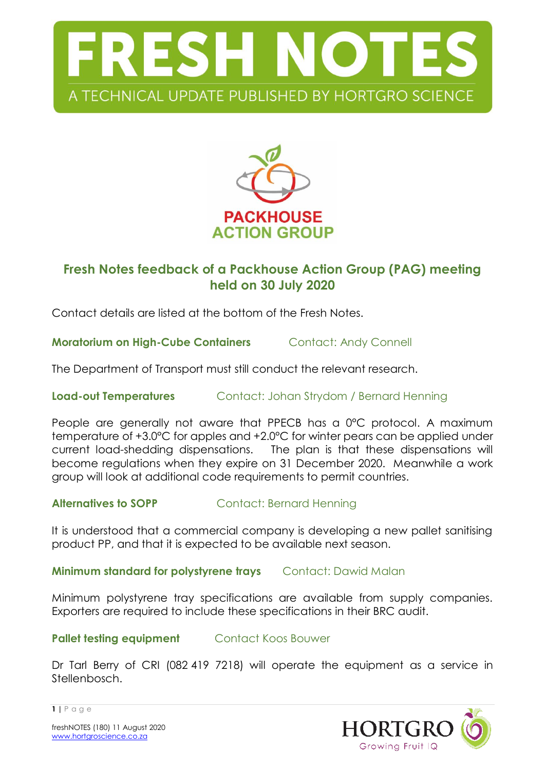



# **Fresh Notes feedback of a Packhouse Action Group (PAG) meeting held on 30 July 2020**

Contact details are listed at the bottom of the Fresh Notes.

**Moratorium on High-Cube Containers Contact: Andy Connell** 

The Department of Transport must still conduct the relevant research.

**Load-out Temperatures** Contact: Johan Strydom / Bernard Henning

People are generally not aware that PPECB has a 0°C protocol. A maximum temperature of +3.0°C for apples and +2.0°C for winter pears can be applied under current load-shedding dispensations. The plan is that these dispensations will become regulations when they expire on 31 December 2020. Meanwhile a work group will look at additional code requirements to permit countries.

**Alternatives to SOPP** Contact: Bernard Henning

It is understood that a commercial company is developing a new pallet sanitising product PP, and that it is expected to be available next season.

**Minimum standard for polystyrene trays** Contact: Dawid Malan

Minimum polystyrene tray specifications are available from supply companies. Exporters are required to include these specifications in their BRC audit.

**Pallet testing equipment** Contact Koos Bouwer

Dr Tarl Berry of CRI (082 419 7218) will operate the equipment as a service in Stellenbosch.



**1 |** P a g e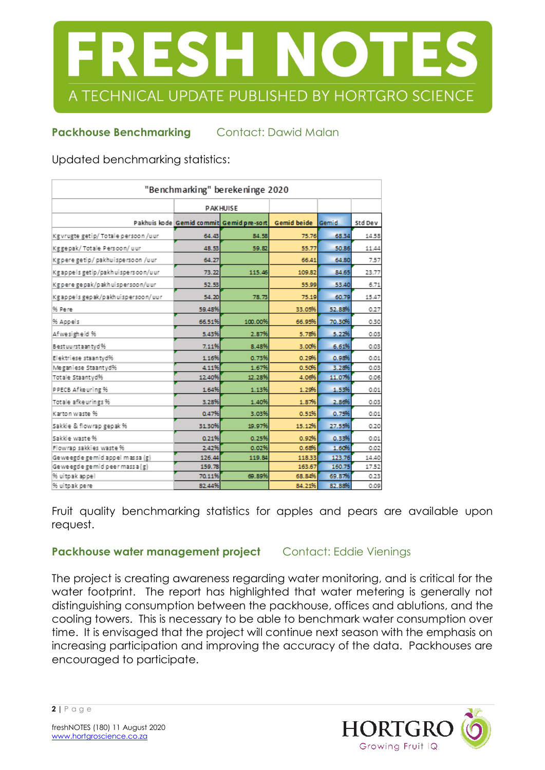

## **Packhouse Benchmarking Contact: Dawid Malan**

Updated benchmarking statistics:

| "Benchmarking" berekeninge 2020      |                 |                                                            |        |        |         |
|--------------------------------------|-----------------|------------------------------------------------------------|--------|--------|---------|
|                                      | <b>PAKHUISE</b> |                                                            |        |        |         |
|                                      |                 | Pakhuis kode Gemid commit Gemid pre-sort Gemid beide Gemid |        |        | Std Dev |
| Kg vrugte getip/ Totale persoon /uur | 64.43           | 84.58                                                      | 75.76  | 68.34  | 14.58   |
| Kggepak/ Totale Persoon/ uur         | 48.53           | 59.82                                                      | 55.77  | 50.86  | 11.44   |
| Kgperegetip/pakhuispersoon/uur       | 64.27           |                                                            | 66.41  | 64.80  | 7.57    |
| Kg appels getip/pakhuispersoon/uur   | 73.22           | 115.46                                                     | 109.82 | 84.65  | 23.77   |
| Kgpere gepak/pakhuispersoon/uur      | 52.53           |                                                            | 55.99  | 53.40  | 6.71    |
| Kgappels gepak/pakhuispersoon/uur    | 54.20           | 78.73                                                      | 75.19  | 60.79  | 15.47   |
| % Pere                               | 59.48%          |                                                            | 33.05% | 52.88% | 0.27    |
| % Appels                             | 66.51%          | 100.00%                                                    | 66.95% | 70.30% | 0.30    |
| Afwesigheid %                        | 5.43%           | 2.87%                                                      | 5.78%  | 5.22%  | 0.03    |
| Best uu rst aan tyd %                | 7.11%           | 8.48%                                                      | 3.00%  | 6.61%  | 0.03    |
| Elektriese staantyd%                 | 1.16%           | 0.73%                                                      | 0.29%  | 0.98%  | 0.01    |
| Meganiese Staantyd%                  | 4.11%           | 1.67%                                                      | 0.50%  | 3.28%  | 0.03    |
| Totale Staantyd%                     | 12.40%          | 12.28%                                                     | 4.06%  | 11.07% | 0.05    |
| PPECB Afkeuring %                    | 1.64%           | 1.13%                                                      | 1.29%  | 1.53%  | 0.01    |
| Totale afkeurings %                  | 3.28%           | 1.40%                                                      | 1.87%  | 2.86%  | 0.03    |
| Karton waste %                       | 0.47%           | 3.03%                                                      | 0.51%  | 0.75%  | 0.01    |
| Sakkie & flowrap gepak %             | 31.30%          | 19.97%                                                     | 15.12% | 27.55% | 0.20    |
| Sakkie waste %                       | 0.21%           | 0.25%                                                      | 0.92%  | 0.33%  | 0.01    |
| Flowrap sakkies waste %              | 2.42%           | 0.02%                                                      | 0.68%  | 1.60%  | 0.02    |
| Geweegde gemid appel massa (g)       | 126.44          | 119.84                                                     | 118.33 | 123.76 | 14.40   |
| Geweegde gemid peer massa (g)        | 159.78          |                                                            | 163.67 | 160.75 | 17.52   |
| % uitpak appel                       | 70.11%          | 69.89%                                                     | 68.84% | 69.87% | 0.23    |
| % uitpak pere                        | 82.44%          |                                                            | 84.21% | 82.88% | 0.09    |

Fruit quality benchmarking statistics for apples and pears are available upon request.

### **Packhouse water management project** Contact: Eddie Vienings

The project is creating awareness regarding water monitoring, and is critical for the water footprint. The report has highlighted that water metering is generally not distinguishing consumption between the packhouse, offices and ablutions, and the cooling towers. This is necessary to be able to benchmark water consumption over time. It is envisaged that the project will continue next season with the emphasis on increasing participation and improving the accuracy of the data. Packhouses are encouraged to participate.



**2 |** P a g e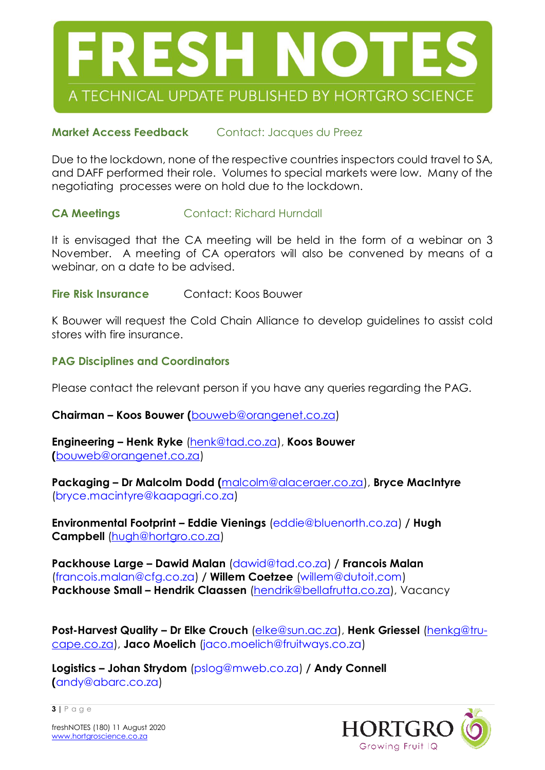

## **Market Access Feedback** Contact: Jacques du Preez

Due to the lockdown, none of the respective countries inspectors could travel to SA, and DAFF performed their role. Volumes to special markets were low. Many of the negotiating processes were on hold due to the lockdown.

#### **CA Meetings Contact: Richard Hurndall**

It is envisaged that the CA meeting will be held in the form of a webinar on 3 November. A meeting of CA operators will also be convened by means of a webinar, on a date to be advised.

**Fire Risk Insurance** Contact: Koos Bouwer

K Bouwer will request the Cold Chain Alliance to develop guidelines to assist cold stores with fire insurance.

#### **PAG Disciplines and Coordinators**

Please contact the relevant person if you have any queries regarding the PAG.

**Chairman – Koos Bouwer (**[bouweb@orangenet.co.za\)](mailto:bouweb@orangenet.co.za)

**Engineering – Henk Ryke** [\(henk@tad.co.za\)](mailto:henk@tad.co.za), **Koos Bouwer (**[bouweb@orangenet.co.za\)](mailto:bouweb@orangenet.co.za)

**Packaging – Dr Malcolm Dodd (**[malcolm@alaceraer.co.za\)](mailto:malcolm@alaceraer.co.za), **Bryce MacIntyre** (bryce.macintyre@kaapagri.co.za)

**Environmental Footprint – Eddie Vienings** (eddie@bluenorth.co.za) **/ Hugh Campbell** [\(hugh@hortgro.co.za\)](mailto:hugh@hortgro.co.za)

**Packhouse Large – Dawid Malan** (dawid@tad.co.za) **/ Francois Malan** (francois.malan@cfg.co.za) **/ Willem Coetzee** [\(willem@dutoit.com\)](mailto:willem@dutoit.com) **Packhouse Small – Hendrik Claassen** [\(hendrik@bellafrutta.co.za\)](mailto:hendrik@bellafrutta.co.za), Vacancy

**Post-Harvest Quality – Dr Elke Crouch** [\(elke@sun.ac.za\)](mailto:elke@sun.ac.za), **Henk Griessel** [\(henkg@tru](mailto:henkg@tru-cape.co.za)[cape.co.za\)](mailto:henkg@tru-cape.co.za), **Jaco Moelich** (jaco.moelich@fruitways.co.za)

**Logistics – Johan Strydom** (pslog@mweb.co.za) **/ Andy Connell (**andy@abarc.co.za)



freshNOTES (180) 11 August 2020 [www.hortgroscience.co.za](http://www.hortgroscience.co.za/)